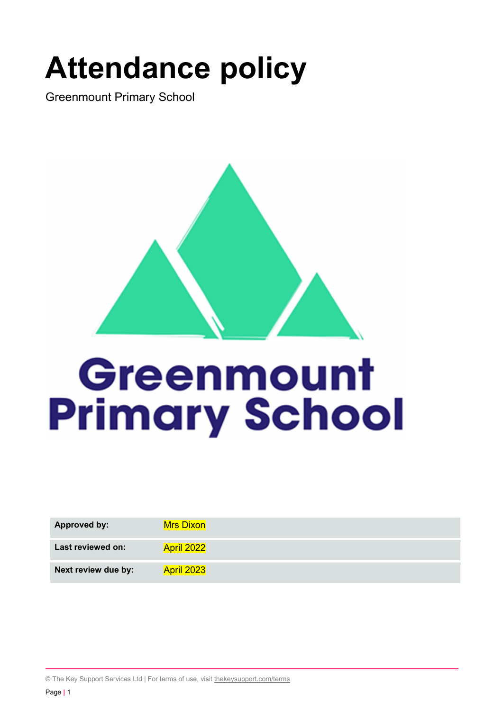# Attendance policy

Greenmount Primary School



# Greenmount **Primary School**

| <b>Approved by:</b> | <b>Mrs Dixon</b> |
|---------------------|------------------|
| Last reviewed on:   | April 2022       |
| Next review due by: | April 2023       |

© The Key Support Services Ltd | For terms of use, visit thekeysupport.com/terms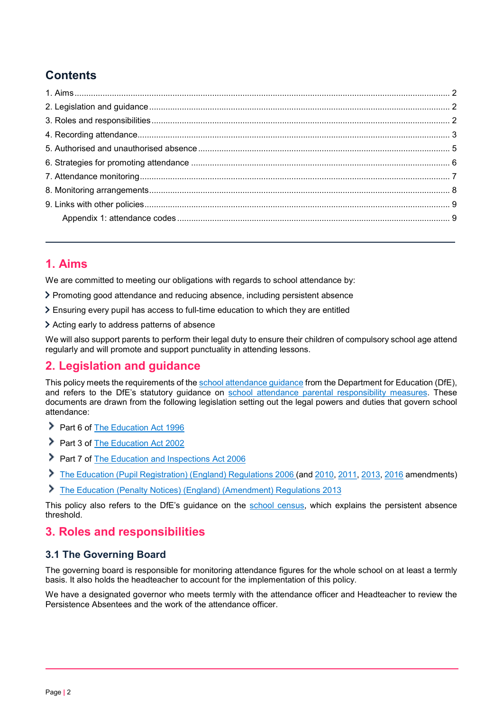# **Contents**

### 1. Aims

We are committed to meeting our obligations with regards to school attendance by:

- Promoting good attendance and reducing absence, including persistent absence
- Ensuring every pupil has access to full-time education to which they are entitled
- Acting early to address patterns of absence

We will also support parents to perform their legal duty to ensure their children of compulsory school age attend regularly and will promote and support punctuality in attending lessons.

## 2. Legislation and guidance

This policy meets the requirements of the school attendance guidance from the Department for Education (DfE), and refers to the DfE's statutory guidance on school attendance parental responsibility measures. These documents are drawn from the following legislation setting out the legal powers and duties that govern school attendance:

- Part 6 of The Education Act 1996
- Part 3 of The Education Act 2002
- Part 7 of The Education and Inspections Act 2006
- The Education (Pupil Registration) (England) Regulations 2006 (and 2010, 2011, 2013, 2016 amendments)
- The Education (Penalty Notices) (England) (Amendment) Regulations 2013

This policy also refers to the DfE's guidance on the school census, which explains the persistent absence threshold.

#### 3. Roles and responsibilities

#### 3.1 The Governing Board

The governing board is responsible for monitoring attendance figures for the whole school on at least a termly basis. It also holds the headteacher to account for the implementation of this policy.

We have a designated governor who meets termly with the attendance officer and Headteacher to review the Persistence Absentees and the work of the attendance officer.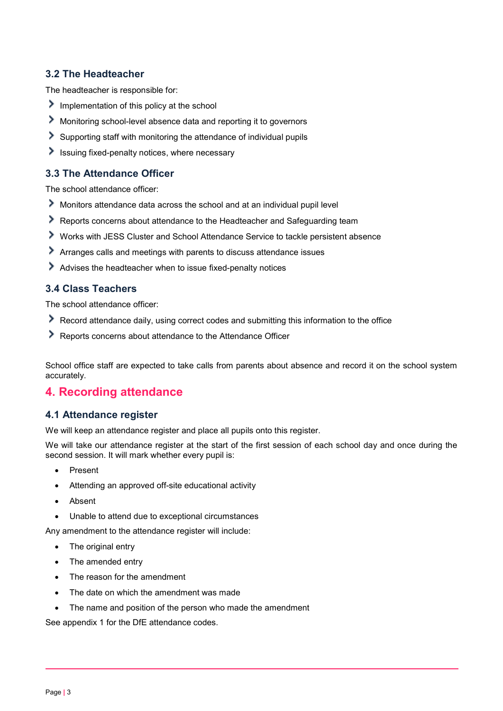#### 3.2 The Headteacher

The headteacher is responsible for:

- Implementation of this policy at the school
- Monitoring school-level absence data and reporting it to governors
- Supporting staff with monitoring the attendance of individual pupils
- $\blacktriangleright$  Issuing fixed-penalty notices, where necessary

#### 3.3 The Attendance Officer

The school attendance officer:

- Monitors attendance data across the school and at an individual pupil level
- Reports concerns about attendance to the Headteacher and Safeguarding team
- Works with JESS Cluster and School Attendance Service to tackle persistent absence
- Arranges calls and meetings with parents to discuss attendance issues
- Advises the headteacher when to issue fixed-penalty notices

#### 3.4 Class Teachers

The school attendance officer:

- Record attendance daily, using correct codes and submitting this information to the office
- Reports concerns about attendance to the Attendance Officer

School office staff are expected to take calls from parents about absence and record it on the school system accurately.

#### 4. Recording attendance

#### 4.1 Attendance register

We will keep an attendance register and place all pupils onto this register.

We will take our attendance register at the start of the first session of each school day and once during the second session. It will mark whether every pupil is:

- Present
- Attending an approved off-site educational activity
- Absent
- Unable to attend due to exceptional circumstances

Any amendment to the attendance register will include:

- The original entry
- The amended entry
- The reason for the amendment
- The date on which the amendment was made
- The name and position of the person who made the amendment

See appendix 1 for the DfE attendance codes.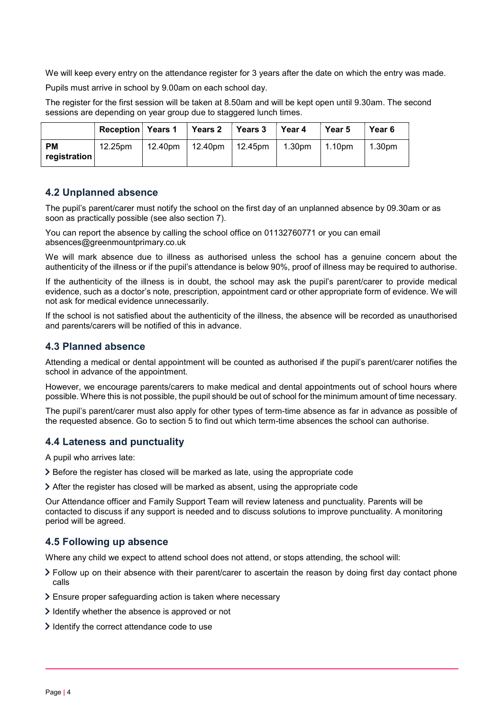We will keep every entry on the attendance register for 3 years after the date on which the entry was made.

Pupils must arrive in school by 9.00am on each school day.

The register for the first session will be taken at 8.50am and will be kept open until 9.30am. The second sessions are depending on year group due to staggered lunch times.

|                           | <b>Reception</b> Years 1 | ˈ Years 2                             | $\vert$ Years 3 | Year 4             | Year 5 | Year 6             |
|---------------------------|--------------------------|---------------------------------------|-----------------|--------------------|--------|--------------------|
| <b>PM</b><br>registration | 12.25pm                  | $12.40 \text{pm}$   12.40pm   12.45pm |                 | 1.30 <sub>pm</sub> | 1.10pm | 1.30 <sub>pm</sub> |

#### 4.2 Unplanned absence

The pupil's parent/carer must notify the school on the first day of an unplanned absence by 09.30am or as soon as practically possible (see also section 7).

You can report the absence by calling the school office on 01132760771 or you can email absences@greenmountprimary.co.uk

We will mark absence due to illness as authorised unless the school has a genuine concern about the authenticity of the illness or if the pupil's attendance is below 90%, proof of illness may be required to authorise.

If the authenticity of the illness is in doubt, the school may ask the pupil's parent/carer to provide medical evidence, such as a doctor's note, prescription, appointment card or other appropriate form of evidence. We will not ask for medical evidence unnecessarily.

If the school is not satisfied about the authenticity of the illness, the absence will be recorded as unauthorised and parents/carers will be notified of this in advance.

#### 4.3 Planned absence

Attending a medical or dental appointment will be counted as authorised if the pupil's parent/carer notifies the school in advance of the appointment.

However, we encourage parents/carers to make medical and dental appointments out of school hours where possible. Where this is not possible, the pupil should be out of school for the minimum amount of time necessary.

The pupil's parent/carer must also apply for other types of term-time absence as far in advance as possible of the requested absence. Go to section 5 to find out which term-time absences the school can authorise.

#### 4.4 Lateness and punctuality

A pupil who arrives late:

- Before the register has closed will be marked as late, using the appropriate code
- After the register has closed will be marked as absent, using the appropriate code

Our Attendance officer and Family Support Team will review lateness and punctuality. Parents will be contacted to discuss if any support is needed and to discuss solutions to improve punctuality. A monitoring period will be agreed.

#### 4.5 Following up absence

Where any child we expect to attend school does not attend, or stops attending, the school will:

- Follow up on their absence with their parent/carer to ascertain the reason by doing first day contact phone calls
- Ensure proper safeguarding action is taken where necessary
- $\geq$  Identify whether the absence is approved or not
- $\ge$  Identify the correct attendance code to use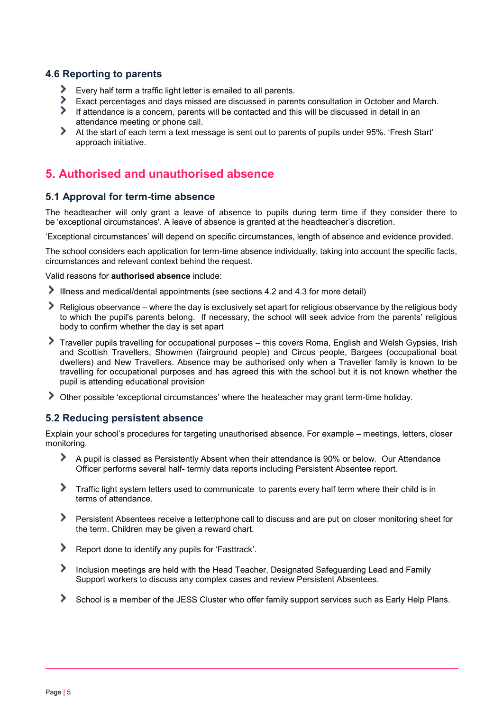#### 4.6 Reporting to parents

- Every half term a traffic light letter is emailed to all parents.
- Exact percentages and days missed are discussed in parents consultation in October and March.
- ≻ If attendance is a concern, parents will be contacted and this will be discussed in detail in an attendance meeting or phone call.
- ゝ At the start of each term a text message is sent out to parents of pupils under 95%. 'Fresh Start' approach initiative.

# 5. Authorised and unauthorised absence

#### 5.1 Approval for term-time absence

The headteacher will only grant a leave of absence to pupils during term time if they consider there to be 'exceptional circumstances'. A leave of absence is granted at the headteacher's discretion.

'Exceptional circumstances' will depend on specific circumstances, length of absence and evidence provided.

The school considers each application for term-time absence individually, taking into account the specific facts, circumstances and relevant context behind the request.

Valid reasons for authorised absence include:

- Illness and medical/dental appointments (see sections 4.2 and 4.3 for more detail)
- Religious observance where the day is exclusively set apart for religious observance by the religious body to which the pupil's parents belong. If necessary, the school will seek advice from the parents' religious body to confirm whether the day is set apart
- Traveller pupils travelling for occupational purposes this covers Roma, English and Welsh Gypsies, Irish and Scottish Travellers, Showmen (fairground people) and Circus people, Bargees (occupational boat dwellers) and New Travellers. Absence may be authorised only when a Traveller family is known to be travelling for occupational purposes and has agreed this with the school but it is not known whether the pupil is attending educational provision
- Other possible 'exceptional circumstances' where the heateacher may grant term-time holiday.

#### 5.2 Reducing persistent absence

Explain your school's procedures for targeting unauthorised absence. For example – meetings, letters, closer monitoring.

- ゝ A pupil is classed as Persistently Absent when their attendance is 90% or below. Our Attendance Officer performs several half- termly data reports including Persistent Absentee report.
- Traffic light system letters used to communicate to parents every half term where their child is in terms of attendance.
- Persistent Absentees receive a letter/phone call to discuss and are put on closer monitoring sheet for the term. Children may be given a reward chart.
- Report done to identify any pupils for 'Fasttrack'.
- Inclusion meetings are held with the Head Teacher, Designated Safeguarding Lead and Family Support workers to discuss any complex cases and review Persistent Absentees.
- School is a member of the JESS Cluster who offer family support services such as Early Help Plans.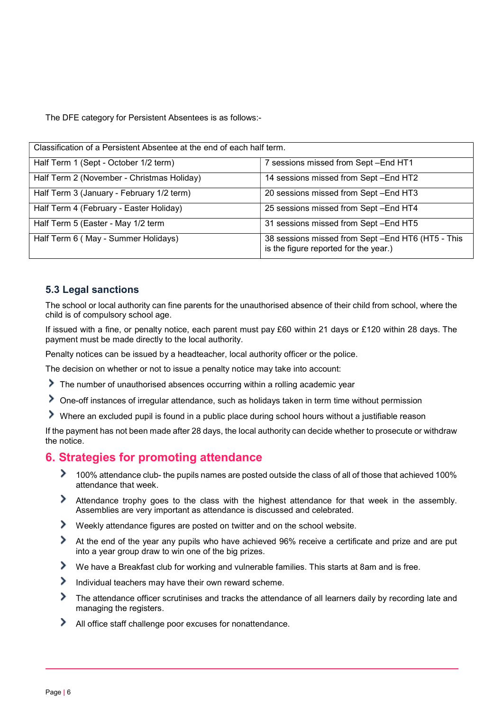The DFE category for Persistent Absentees is as follows:-

| Classification of a Persistent Absentee at the end of each half term. |                                                                                           |  |  |
|-----------------------------------------------------------------------|-------------------------------------------------------------------------------------------|--|--|
| Half Term 1 (Sept - October 1/2 term)                                 | 7 sessions missed from Sept-End HT1                                                       |  |  |
| Half Term 2 (November - Christmas Holiday)                            | 14 sessions missed from Sept-End HT2                                                      |  |  |
| Half Term 3 (January - February 1/2 term)                             | 20 sessions missed from Sept-End HT3                                                      |  |  |
| Half Term 4 (February - Easter Holiday)                               | 25 sessions missed from Sept-End HT4                                                      |  |  |
| Half Term 5 (Easter - May 1/2 term                                    | 31 sessions missed from Sept-End HT5                                                      |  |  |
| Half Term 6 (May - Summer Holidays)                                   | 38 sessions missed from Sept-End HT6 (HT5 - This<br>is the figure reported for the year.) |  |  |

#### 5.3 Legal sanctions

The school or local authority can fine parents for the unauthorised absence of their child from school, where the child is of compulsory school age.

If issued with a fine, or penalty notice, each parent must pay £60 within 21 days or £120 within 28 days. The payment must be made directly to the local authority.

Penalty notices can be issued by a headteacher, local authority officer or the police.

The decision on whether or not to issue a penalty notice may take into account:

- The number of unauthorised absences occurring within a rolling academic year
- One-off instances of irregular attendance, such as holidays taken in term time without permission
- Where an excluded pupil is found in a public place during school hours without a justifiable reason

If the payment has not been made after 28 days, the local authority can decide whether to prosecute or withdraw the notice.

#### 6. Strategies for promoting attendance

- 100% attendance club- the pupils names are posted outside the class of all of those that achieved 100% attendance that week.
- Attendance trophy goes to the class with the highest attendance for that week in the assembly. Assemblies are very important as attendance is discussed and celebrated.
- Weekly attendance figures are posted on twitter and on the school website.
- At the end of the year any pupils who have achieved 96% receive a certificate and prize and are put into a year group draw to win one of the big prizes.
- ≻ We have a Breakfast club for working and vulnerable families. This starts at 8am and is free.
- ⋟ Individual teachers may have their own reward scheme.
- ⋟ The attendance officer scrutinises and tracks the attendance of all learners daily by recording late and managing the registers.
- ⋗ All office staff challenge poor excuses for nonattendance.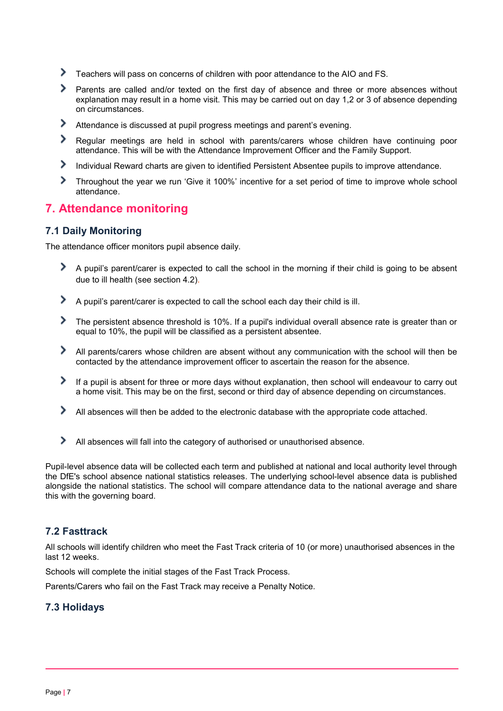- ⋟ Teachers will pass on concerns of children with poor attendance to the AIO and FS.
- Parents are called and/or texted on the first day of absence and three or more absences without explanation may result in a home visit. This may be carried out on day 1,2 or 3 of absence depending on circumstances.
- ⋟ Attendance is discussed at pupil progress meetings and parent's evening.
- ≻ Regular meetings are held in school with parents/carers whose children have continuing poor attendance. This will be with the Attendance Improvement Officer and the Family Support.
- ⋟ Individual Reward charts are given to identified Persistent Absentee pupils to improve attendance.
- ≯ Throughout the year we run 'Give it 100%' incentive for a set period of time to improve whole school attendance.

#### 7. Attendance monitoring

#### 7.1 Daily Monitoring

The attendance officer monitors pupil absence daily.

- A pupil's parent/carer is expected to call the school in the morning if their child is going to be absent due to ill health (see section 4.2).
- A pupil's parent/carer is expected to call the school each day their child is ill.
- The persistent absence threshold is 10%. If a pupil's individual overall absence rate is greater than or equal to 10%, the pupil will be classified as a persistent absentee.
- All parents/carers whose children are absent without any communication with the school will then be contacted by the attendance improvement officer to ascertain the reason for the absence.
- If a pupil is absent for three or more days without explanation, then school will endeavour to carry out a home visit. This may be on the first, second or third day of absence depending on circumstances.
- All absences will then be added to the electronic database with the appropriate code attached.
- All absences will fall into the category of authorised or unauthorised absence.

Pupil-level absence data will be collected each term and published at national and local authority level through the DfE's school absence national statistics releases. The underlying school-level absence data is published alongside the national statistics. The school will compare attendance data to the national average and share this with the governing board.

#### 7.2 Fasttrack

All schools will identify children who meet the Fast Track criteria of 10 (or more) unauthorised absences in the last 12 weeks.

Schools will complete the initial stages of the Fast Track Process.

Parents/Carers who fail on the Fast Track may receive a Penalty Notice.

#### 7.3 Holidays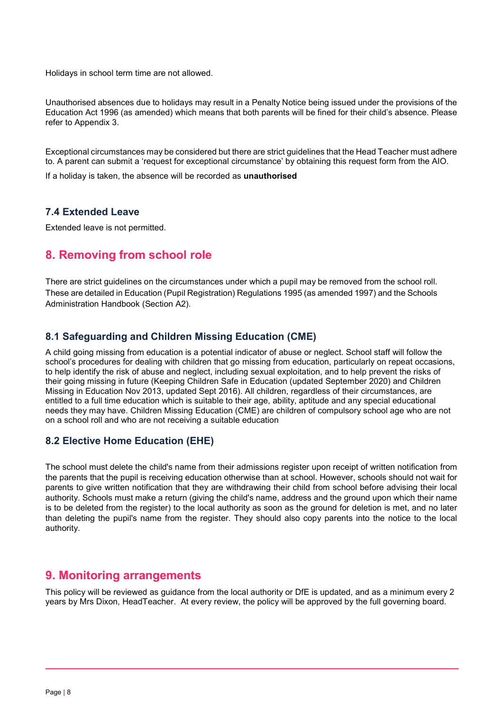Holidays in school term time are not allowed.

Unauthorised absences due to holidays may result in a Penalty Notice being issued under the provisions of the Education Act 1996 (as amended) which means that both parents will be fined for their child's absence. Please refer to Appendix 3.

Exceptional circumstances may be considered but there are strict guidelines that the Head Teacher must adhere to. A parent can submit a 'request for exceptional circumstance' by obtaining this request form from the AIO.

If a holiday is taken, the absence will be recorded as unauthorised

#### 7.4 Extended Leave

Extended leave is not permitted.

# 8. Removing from school role

There are strict guidelines on the circumstances under which a pupil may be removed from the school roll. These are detailed in Education (Pupil Registration) Regulations 1995 (as amended 1997) and the Schools Administration Handbook (Section A2).

#### 8.1 Safeguarding and Children Missing Education (CME)

A child going missing from education is a potential indicator of abuse or neglect. School staff will follow the school's procedures for dealing with children that go missing from education, particularly on repeat occasions, to help identify the risk of abuse and neglect, including sexual exploitation, and to help prevent the risks of their going missing in future (Keeping Children Safe in Education (updated September 2020) and Children Missing in Education Nov 2013, updated Sept 2016). All children, regardless of their circumstances, are entitled to a full time education which is suitable to their age, ability, aptitude and any special educational needs they may have. Children Missing Education (CME) are children of compulsory school age who are not on a school roll and who are not receiving a suitable education

#### 8.2 Elective Home Education (EHE)

The school must delete the child's name from their admissions register upon receipt of written notification from the parents that the pupil is receiving education otherwise than at school. However, schools should not wait for parents to give written notification that they are withdrawing their child from school before advising their local authority. Schools must make a return (giving the child's name, address and the ground upon which their name is to be deleted from the register) to the local authority as soon as the ground for deletion is met, and no later than deleting the pupil's name from the register. They should also copy parents into the notice to the local authority.

#### 9. Monitoring arrangements

This policy will be reviewed as guidance from the local authority or DfE is updated, and as a minimum every 2 years by Mrs Dixon, HeadTeacher. At every review, the policy will be approved by the full governing board.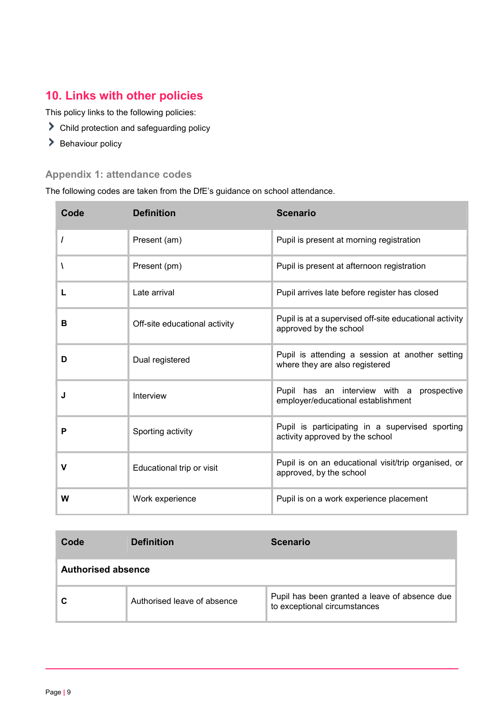# 10. Links with other policies

This policy links to the following policies:

- Child protection and safeguarding policy
- > Behaviour policy

# Appendix 1: attendance codes

The following codes are taken from the DfE's guidance on school attendance.

| Code | <b>Definition</b>             | <b>Scenario</b>                                                                    |
|------|-------------------------------|------------------------------------------------------------------------------------|
| I    | Present (am)                  | Pupil is present at morning registration                                           |
|      | Present (pm)                  | Pupil is present at afternoon registration                                         |
| L    | Late arrival                  | Pupil arrives late before register has closed                                      |
| в    | Off-site educational activity | Pupil is at a supervised off-site educational activity<br>approved by the school   |
| D    | Dual registered               | Pupil is attending a session at another setting<br>where they are also registered  |
| J    | Interview                     | Pupil has an interview with a prospective<br>employer/educational establishment    |
| P    | Sporting activity             | Pupil is participating in a supervised sporting<br>activity approved by the school |
| v    | Educational trip or visit     | Pupil is on an educational visit/trip organised, or<br>approved, by the school     |
| W    | Work experience               | Pupil is on a work experience placement                                            |

| Code                      | <b>Definition</b>           | <b>Scenario</b>                                                               |  |
|---------------------------|-----------------------------|-------------------------------------------------------------------------------|--|
| <b>Authorised absence</b> |                             |                                                                               |  |
|                           | Authorised leave of absence | Pupil has been granted a leave of absence due<br>to exceptional circumstances |  |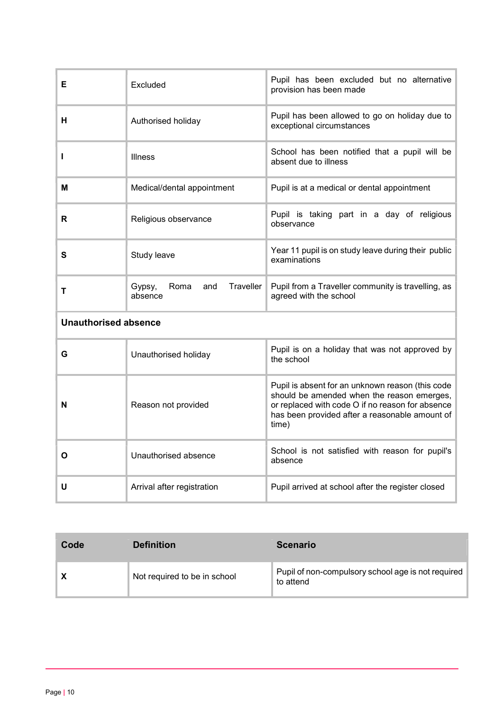| Е                           | Excluded                                      | Pupil has been excluded but no alternative<br>provision has been made                                                                                                                                         |  |  |  |
|-----------------------------|-----------------------------------------------|---------------------------------------------------------------------------------------------------------------------------------------------------------------------------------------------------------------|--|--|--|
| н                           | Authorised holiday                            | Pupil has been allowed to go on holiday due to<br>exceptional circumstances                                                                                                                                   |  |  |  |
| п                           | <b>Illness</b>                                | School has been notified that a pupil will be<br>absent due to illness                                                                                                                                        |  |  |  |
| м                           | Medical/dental appointment                    | Pupil is at a medical or dental appointment                                                                                                                                                                   |  |  |  |
| R                           | Religious observance                          | Pupil is taking part in a day of religious<br>observance                                                                                                                                                      |  |  |  |
| S                           | Study leave                                   | Year 11 pupil is on study leave during their public<br>examinations                                                                                                                                           |  |  |  |
| т                           | Traveller<br>Gypsy,<br>Roma<br>and<br>absence | Pupil from a Traveller community is travelling, as<br>agreed with the school                                                                                                                                  |  |  |  |
| <b>Unauthorised absence</b> |                                               |                                                                                                                                                                                                               |  |  |  |
| G                           | Unauthorised holiday                          | Pupil is on a holiday that was not approved by<br>the school                                                                                                                                                  |  |  |  |
| N                           | Reason not provided                           | Pupil is absent for an unknown reason (this code<br>should be amended when the reason emerges,<br>or replaced with code O if no reason for absence<br>has been provided after a reasonable amount of<br>time) |  |  |  |
| O                           | Unauthorised absence                          | School is not satisfied with reason for pupil's<br>absence                                                                                                                                                    |  |  |  |
| U                           | Arrival after registration                    | Pupil arrived at school after the register closed                                                                                                                                                             |  |  |  |

| Code | <b>Definition</b>            | <b>Scenario</b>                                                 |
|------|------------------------------|-----------------------------------------------------------------|
| X    | Not required to be in school | Pupil of non-compulsory school age is not required<br>to attend |